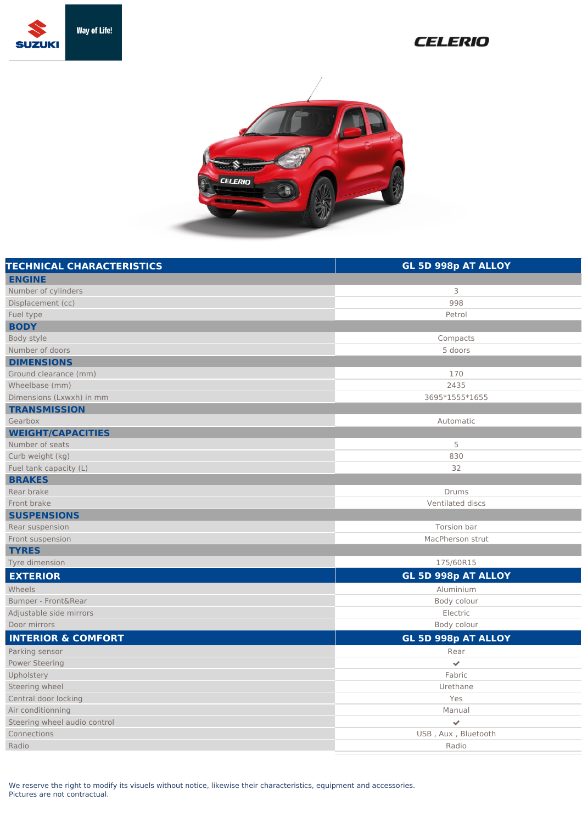

## **CELERIO**



| <b>TECHNICAL CHARACTERISTICS</b> | GL 5D 998p AT ALLOY        |
|----------------------------------|----------------------------|
| <b>ENGINE</b>                    |                            |
| Number of cylinders              | 3                          |
| Displacement (cc)                | 998                        |
| Fuel type                        | Petrol                     |
| <b>BODY</b>                      |                            |
| Body style                       | Compacts                   |
| Number of doors                  | 5 doors                    |
| <b>DIMENSIONS</b>                |                            |
| Ground clearance (mm)            | 170                        |
| Wheelbase (mm)                   | 2435                       |
| Dimensions (Lxwxh) in mm         | 3695*1555*1655             |
| <b>TRANSMISSION</b>              |                            |
| Gearbox                          | Automatic                  |
| <b>WEIGHT/CAPACITIES</b>         |                            |
| Number of seats                  | 5                          |
| Curb weight (kg)                 | 830                        |
| Fuel tank capacity (L)           | 32                         |
| <b>BRAKES</b>                    |                            |
| Rear brake                       | <b>Drums</b>               |
| Front brake                      | Ventilated discs           |
| <b>SUSPENSIONS</b>               |                            |
| Rear suspension                  | Torsion bar                |
| Front suspension                 | MacPherson strut           |
| <b>TYRES</b>                     |                            |
| Tyre dimension                   | 175/60R15                  |
| <b>EXTERIOR</b>                  | <b>GL 5D 998p AT ALLOY</b> |
| Wheels                           | Aluminium                  |
| Bumper - Front&Rear              | Body colour                |
| Adjustable side mirrors          | Electric                   |
| Door mirrors                     | Body colour                |
| <b>INTERIOR &amp; COMFORT</b>    | GL 5D 998p AT ALLOY        |
| Parking sensor                   | Rear                       |
| <b>Power Steering</b>            | $\checkmark$               |
| Upholstery                       | Fabric                     |
| Steering wheel                   | Urethane                   |
| Central door locking             | Yes                        |
| Air conditionning                | Manual                     |
| Steering wheel audio control     | $\checkmark$               |
| Connections                      | USB, Aux, Bluetooth        |
| Radio                            | Radio                      |